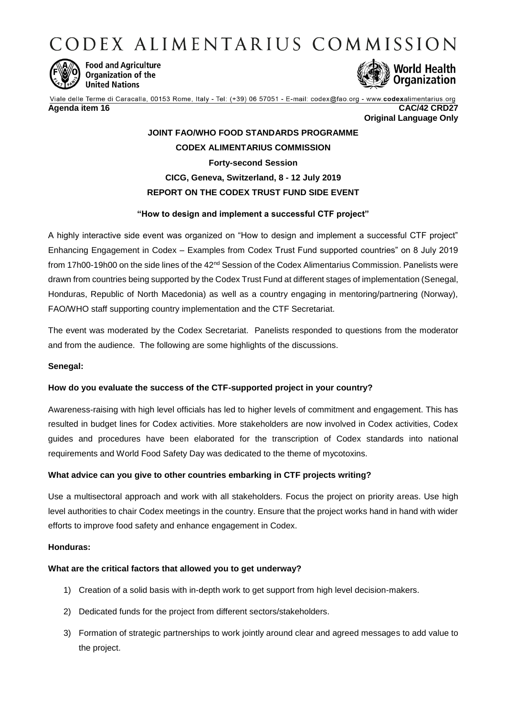CODEX ALIMENTARIUS COMMISSION



**Food and Agriculture** Organization of the **United Nations** 



Viale delle Terme di Caracalla, 00153 Rome, Italy - Tel: (+39) 06 57051 - E-mail: codex@fao.org - www.codexalimentarius.org **Agenda item 16 CAC/42 CRD27 Original Language Only**

# **JOINT FAO/WHO FOOD STANDARDS PROGRAMME CODEX ALIMENTARIUS COMMISSION Forty-second Session CICG, Geneva, Switzerland, 8 - 12 July 2019 REPORT ON THE CODEX TRUST FUND SIDE EVENT**

# **"How to design and implement a successful CTF project"**

A highly interactive side event was organized on "How to design and implement a successful CTF project" Enhancing Engagement in Codex – Examples from Codex Trust Fund supported countries" on 8 July 2019 from 17h00-19h00 on the side lines of the 42<sup>nd</sup> Session of the Codex Alimentarius Commission. Panelists were drawn from countries being supported by the Codex Trust Fund at different stages of implementation (Senegal, Honduras, Republic of North Macedonia) as well as a country engaging in mentoring/partnering (Norway), FAO/WHO staff supporting country implementation and the CTF Secretariat.

The event was moderated by the Codex Secretariat. Panelists responded to questions from the moderator and from the audience. The following are some highlights of the discussions.

#### **Senegal:**

# **How do you evaluate the success of the CTF-supported project in your country?**

Awareness-raising with high level officials has led to higher levels of commitment and engagement. This has resulted in budget lines for Codex activities. More stakeholders are now involved in Codex activities, Codex guides and procedures have been elaborated for the transcription of Codex standards into national requirements and World Food Safety Day was dedicated to the theme of mycotoxins.

# **What advice can you give to other countries embarking in CTF projects writing?**

Use a multisectoral approach and work with all stakeholders. Focus the project on priority areas. Use high level authorities to chair Codex meetings in the country. Ensure that the project works hand in hand with wider efforts to improve food safety and enhance engagement in Codex.

#### **Honduras:**

# **What are the critical factors that allowed you to get underway?**

- 1) Creation of a solid basis with in-depth work to get support from high level decision-makers.
- 2) Dedicated funds for the project from different sectors/stakeholders.
- 3) Formation of strategic partnerships to work jointly around clear and agreed messages to add value to the project.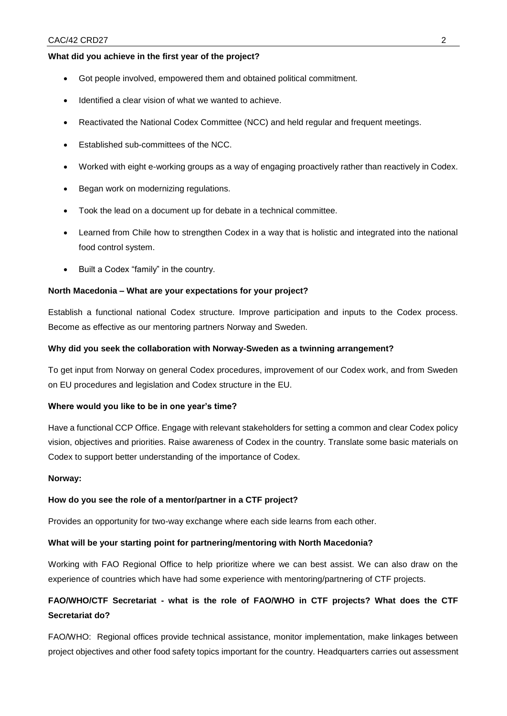### **What did you achieve in the first year of the project?**

- Got people involved, empowered them and obtained political commitment.
- Identified a clear vision of what we wanted to achieve.
- Reactivated the National Codex Committee (NCC) and held regular and frequent meetings.
- Established sub-committees of the NCC.
- Worked with eight e-working groups as a way of engaging proactively rather than reactively in Codex.
- Began work on modernizing regulations.
- Took the lead on a document up for debate in a technical committee.
- Learned from Chile how to strengthen Codex in a way that is holistic and integrated into the national food control system.
- Built a Codex "family" in the country.

#### **North Macedonia – What are your expectations for your project?**

Establish a functional national Codex structure. Improve participation and inputs to the Codex process. Become as effective as our mentoring partners Norway and Sweden.

#### **Why did you seek the collaboration with Norway-Sweden as a twinning arrangement?**

To get input from Norway on general Codex procedures, improvement of our Codex work, and from Sweden on EU procedures and legislation and Codex structure in the EU.

#### **Where would you like to be in one year's time?**

Have a functional CCP Office. Engage with relevant stakeholders for setting a common and clear Codex policy vision, objectives and priorities. Raise awareness of Codex in the country. Translate some basic materials on Codex to support better understanding of the importance of Codex.

#### **Norway:**

#### **How do you see the role of a mentor/partner in a CTF project?**

Provides an opportunity for two-way exchange where each side learns from each other.

#### **What will be your starting point for partnering/mentoring with North Macedonia?**

Working with FAO Regional Office to help prioritize where we can best assist. We can also draw on the experience of countries which have had some experience with mentoring/partnering of CTF projects.

# **FAO/WHO/CTF Secretariat - what is the role of FAO/WHO in CTF projects? What does the CTF Secretariat do?**

FAO/WHO: Regional offices provide technical assistance, monitor implementation, make linkages between project objectives and other food safety topics important for the country. Headquarters carries out assessment